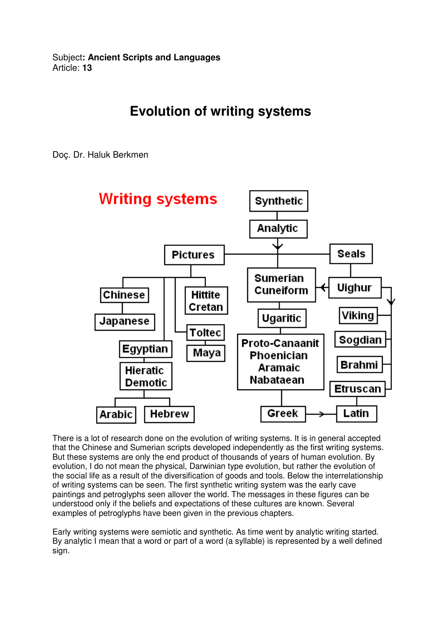Subject**: Ancient Scripts and Languages**  Article: **13**

## **Evolution of writing systems**

Doç. Dr. Haluk Berkmen



There is a lot of research done on the evolution of writing systems. It is in general accepted that the Chinese and Sumerian scripts developed independently as the first writing systems. But these systems are only the end product of thousands of years of human evolution. By evolution, I do not mean the physical, Darwinian type evolution, but rather the evolution of the social life as a result of the diversification of goods and tools. Below the interrelationship of writing systems can be seen. The first synthetic writing system was the early cave paintings and petroglyphs seen allover the world. The messages in these figures can be understood only if the beliefs and expectations of these cultures are known. Several examples of petroglyphs have been given in the previous chapters.

Early writing systems were semiotic and synthetic. As time went by analytic writing started. By analytic I mean that a word or part of a word (a syllable) is represented by a well defined sign.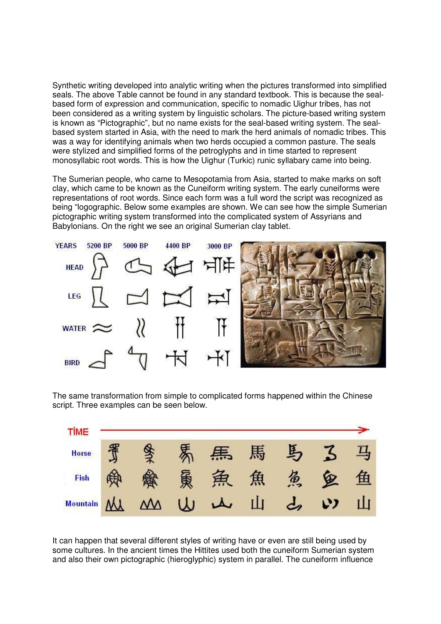Synthetic writing developed into analytic writing when the pictures transformed into simplified seals. The above Table cannot be found in any standard textbook. This is because the sealbased form of expression and communication, specific to nomadic Uighur tribes, has not been considered as a writing system by linguistic scholars. The picture-based writing system is known as "Pictographic", but no name exists for the seal-based writing system. The sealbased system started in Asia, with the need to mark the herd animals of nomadic tribes. This was a way for identifying animals when two herds occupied a common pasture. The seals were stylized and simplified forms of the petroglyphs and in time started to represent monosyllabic root words. This is how the Uighur (Turkic) runic syllabary came into being.

The Sumerian people, who came to Mesopotamia from Asia, started to make marks on soft clay, which came to be known as the Cuneiform writing system. The early cuneiforms were representations of root words. Since each form was a full word the script was recognized as being "logographic. Below some examples are shown. We can see how the simple Sumerian pictographic writing system transformed into the complicated system of Assyrians and Babylonians. On the right we see an original Sumerian clay tablet.



The same transformation from simple to complicated forms happened within the Chinese script. Three examples can be seen below.



It can happen that several different styles of writing have or even are still being used by some cultures. In the ancient times the Hittites used both the cuneiform Sumerian system and also their own pictographic (hieroglyphic) system in parallel. The cuneiform influence